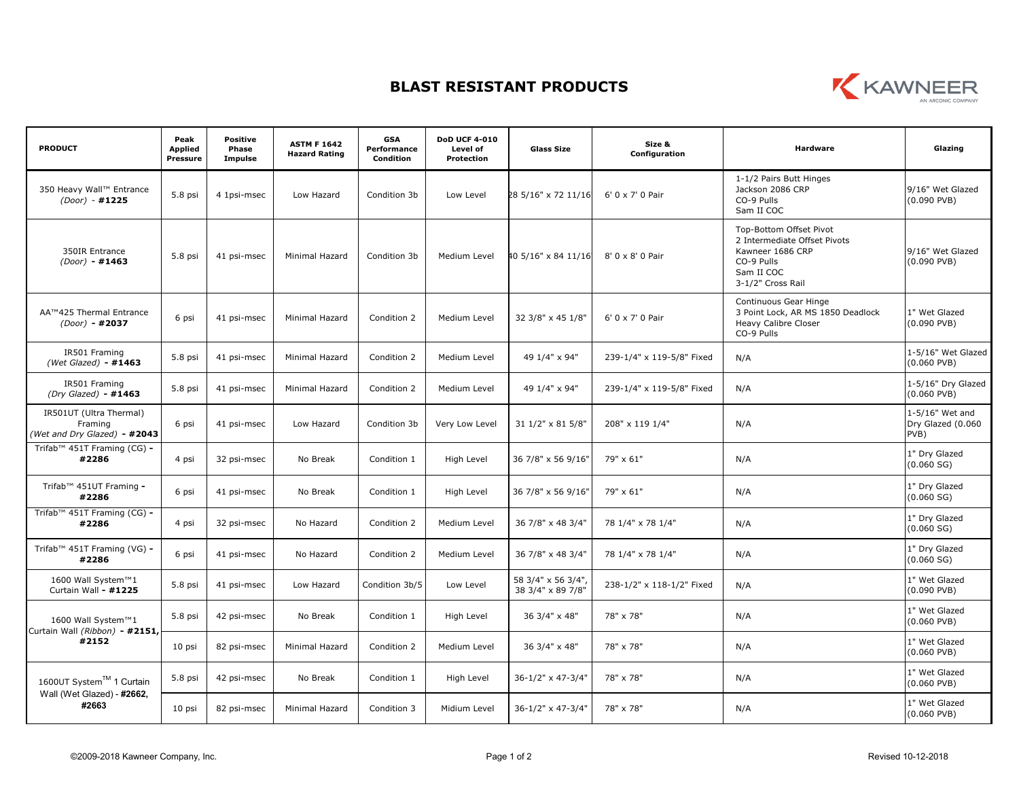## **BLAST RESISTANT PRODUCTS**



| <b>PRODUCT</b>                                                     | Peak<br><b>Applied</b><br><b>Pressure</b> | <b>Positive</b><br>Phase<br>Impulse | <b>ASTM F 1642</b><br><b>Hazard Rating</b> | <b>GSA</b><br>Performance<br>Condition | <b>DoD UCF 4-010</b><br>Level of<br>Protection | <b>Glass Size</b>                      | Size &<br>Configuration   | Hardware                                                                                                                     | Glazing                                      |
|--------------------------------------------------------------------|-------------------------------------------|-------------------------------------|--------------------------------------------|----------------------------------------|------------------------------------------------|----------------------------------------|---------------------------|------------------------------------------------------------------------------------------------------------------------------|----------------------------------------------|
| 350 Heavy Wall™ Entrance<br>$(Door) - #1225$                       | 5.8 psi                                   | 4 1psi-msec                         | Low Hazard                                 | Condition 3b                           | Low Level                                      | 28 5/16" x 72 11/16                    | $6'$ 0 x 7' 0 Pair        | 1-1/2 Pairs Butt Hinges<br>Jackson 2086 CRP<br>CO-9 Pulls<br>Sam II COC                                                      | 9/16" Wet Glazed<br>$(0.090$ PVB)            |
| 350IR Entrance<br>$(Door) - #1463$                                 | 5.8 psi                                   | 41 psi-msec                         | Minimal Hazard                             | Condition 3b                           | Medium Level                                   | 40 5/16" x 84 11/16                    | $8'0 \times 8'0$ Pair     | Top-Bottom Offset Pivot<br>2 Intermediate Offset Pivots<br>Kawneer 1686 CRP<br>CO-9 Pulls<br>Sam II COC<br>3-1/2" Cross Rail | 9/16" Wet Glazed<br>$(0.090$ PVB)            |
| AA™425 Thermal Entrance<br>$(Door) - #2037$                        | 6 psi                                     | 41 psi-msec                         | Minimal Hazard                             | Condition 2                            | Medium Level                                   | 32 3/8" x 45 1/8"                      | 6' 0 x 7' 0 Pair          | Continuous Gear Hinge<br>3 Point Lock, AR MS 1850 Deadlock<br><b>Heavy Calibre Closer</b><br>CO-9 Pulls                      | 1" Wet Glazed<br>$(0.090$ PVB)               |
| IR501 Framing<br>(Wet Glazed) - $\#1463$                           | 5.8 psi                                   | 41 psi-msec                         | Minimal Hazard                             | Condition 2                            | Medium Level                                   | 49 1/4" x 94"                          | 239-1/4" x 119-5/8" Fixed | N/A                                                                                                                          | 1-5/16" Wet Glazed<br>$(0.060$ PVB)          |
| IR501 Framing<br>$(Dry$ Glazed) - $#1463$                          | 5.8 psi                                   | 41 psi-msec                         | Minimal Hazard                             | Condition 2                            | Medium Level                                   | 49 1/4" x 94"                          | 239-1/4" x 119-5/8" Fixed | N/A                                                                                                                          | 1-5/16" Dry Glazed<br>$(0.060$ PVB)          |
| IR501UT (Ultra Thermal)<br>Framing<br>(Wet and Dry Glazed) - #2043 | 6 psi                                     | 41 psi-msec                         | Low Hazard                                 | Condition 3b                           | Very Low Level                                 | 31 1/2" x 81 5/8"                      | 208" x 119 1/4"           | N/A                                                                                                                          | 1-5/16" Wet and<br>Dry Glazed (0.060<br>PVB) |
| Trifab <sup>™</sup> 451T Framing (CG) -<br>#2286                   | 4 psi                                     | 32 psi-msec                         | No Break                                   | Condition 1                            | High Level                                     | 36 7/8" x 56 9/16"                     | 79" x 61"                 | N/A                                                                                                                          | 1" Dry Glazed<br>(0.060 SG)                  |
| Trifab™ 451UT Framing -<br>#2286                                   | 6 psi                                     | 41 psi-msec                         | No Break                                   | Condition 1                            | High Level                                     | 36 7/8" x 56 9/16"                     | 79" x 61"                 | N/A                                                                                                                          | 1" Dry Glazed<br>(0.060 SG)                  |
| Trifab™ 451T Framing (CG) -<br>#2286                               | 4 psi                                     | 32 psi-msec                         | No Hazard                                  | Condition 2                            | Medium Level                                   | 36 7/8" x 48 3/4"                      | 78 1/4" x 78 1/4"         | N/A                                                                                                                          | 1" Dry Glazed<br>(0.060 SG)                  |
| Trifab <sup>™</sup> 451T Framing (VG) -<br>#2286                   | 6 psi                                     | 41 psi-msec                         | No Hazard                                  | Condition 2                            | Medium Level                                   | 36 7/8" x 48 3/4"                      | 78 1/4" x 78 1/4"         | N/A                                                                                                                          | 1" Dry Glazed<br>(0.060 SG)                  |
| 1600 Wall System™1<br>Curtain Wall - #1225                         | 5.8 psi                                   | 41 psi-msec                         | Low Hazard                                 | Condition 3b/5                         | Low Level                                      | 58 3/4" x 56 3/4"<br>38 3/4" x 89 7/8" | 238-1/2" x 118-1/2" Fixed | N/A                                                                                                                          | 1" Wet Glazed<br>$(0.090$ PVB)               |
| 1600 Wall System™1<br>Curtain Wall (Ribbon) - #2151,<br>#2152      | 5.8 psi                                   | 42 psi-msec                         | No Break                                   | Condition 1                            | High Level                                     | 36 3/4" x 48"                          | 78" x 78"                 | N/A                                                                                                                          | 1" Wet Glazed<br>$(0.060$ PVB)               |
|                                                                    | 10 psi                                    | 82 psi-msec                         | Minimal Hazard                             | Condition 2                            | Medium Level                                   | 36 3/4" x 48"                          | 78" x 78"                 | N/A                                                                                                                          | 1" Wet Glazed<br>$(0.060$ PVB)               |
| 1600UT System™ 1 Curtain<br>Wall (Wet Glazed) - #2662,<br>#2663    | 5.8 psi                                   | 42 psi-msec                         | No Break                                   | Condition 1                            | High Level                                     | 36-1/2" x 47-3/4"                      | 78" x 78"                 | N/A                                                                                                                          | 1" Wet Glazed<br>$(0.060$ PVB)               |
|                                                                    | 10 psi                                    | 82 psi-msec                         | Minimal Hazard                             | Condition 3                            | Midium Level                                   | 36-1/2" x 47-3/4"                      | 78" x 78"                 | N/A                                                                                                                          | 1" Wet Glazed<br>$(0.060$ PVB)               |